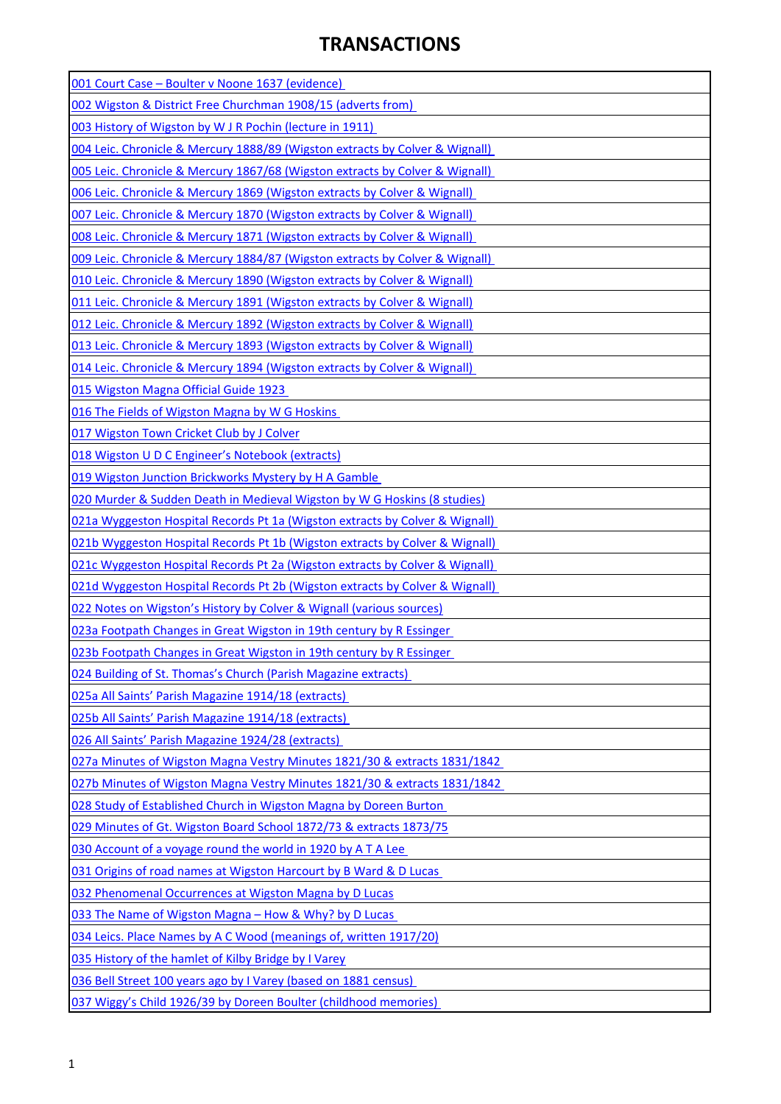## **TRANSACTIONS**

| 001 Court Case - Boulter v Noone 1637 (evidence)                                        |
|-----------------------------------------------------------------------------------------|
| 002 Wigston & District Free Churchman 1908/15 (adverts from)                            |
| 003 History of Wigston by W J R Pochin (lecture in 1911)                                |
| 004 Leic. Chronicle & Mercury 1888/89 (Wigston extracts by Colver & Wignall)            |
| 005 Leic. Chronicle & Mercury 1867/68 (Wigston extracts by Colver & Wignall)            |
| 006 Leic. Chronicle & Mercury 1869 (Wigston extracts by Colver & Wignall)               |
| 007 Leic. Chronicle & Mercury 1870 (Wigston extracts by Colver & Wignall)               |
| 008 Leic. Chronicle & Mercury 1871 (Wigston extracts by Colver & Wignall)               |
| 009 Leic. Chronicle & Mercury 1884/87 (Wigston extracts by Colver & Wignall)            |
| 010 Leic. Chronicle & Mercury 1890 (Wigston extracts by Colver & Wignall)               |
| 011 Leic. Chronicle & Mercury 1891 (Wigston extracts by Colver & Wignall)               |
| 012 Leic. Chronicle & Mercury 1892 (Wigston extracts by Colver & Wignall)               |
| 013 Leic. Chronicle & Mercury 1893 (Wigston extracts by Colver & Wignall)               |
| 014 Leic. Chronicle & Mercury 1894 (Wigston extracts by Colver & Wignall)               |
| 015 Wigston Magna Official Guide 1923                                                   |
| 016 The Fields of Wigston Magna by W G Hoskins                                          |
| 017 Wigston Town Cricket Club by J Colver                                               |
| 018 Wigston U D C Engineer's Notebook (extracts)                                        |
| 019 Wigston Junction Brickworks Mystery by H A Gamble                                   |
| 020 Murder & Sudden Death in Medieval Wigston by W G Hoskins (8 studies)                |
| <b>021a Wyggeston Hospital Records Pt 1a (Wigston extracts by Colver &amp; Wignall)</b> |
| 021b Wyggeston Hospital Records Pt 1b (Wigston extracts by Colver & Wignall)            |
| 021c Wyggeston Hospital Records Pt 2a (Wigston extracts by Colver & Wignall)            |
| 021d Wyggeston Hospital Records Pt 2b (Wigston extracts by Colver & Wignall)            |
| 022 Notes on Wigston's History by Colver & Wignall (various sources)                    |
| 023a Footpath Changes in Great Wigston in 19th century by R Essinger                    |
| 023b Footpath Changes in Great Wigston in 19th century by R Essinger                    |
| 024 Building of St. Thomas's Church (Parish Magazine extracts)                          |
| 025a All Saints' Parish Magazine 1914/18 (extracts)                                     |
| 025b All Saints' Parish Magazine 1914/18 (extracts)                                     |
| 026 All Saints' Parish Magazine 1924/28 (extracts)                                      |
| 027a Minutes of Wigston Magna Vestry Minutes 1821/30 & extracts 1831/1842               |
| 027b Minutes of Wigston Magna Vestry Minutes 1821/30 & extracts 1831/1842               |
| 028 Study of Established Church in Wigston Magna by Doreen Burton                       |
| 029 Minutes of Gt. Wigston Board School 1872/73 & extracts 1873/75                      |
| 030 Account of a voyage round the world in 1920 by A T A Lee                            |
| 031 Origins of road names at Wigston Harcourt by B Ward & D Lucas                       |
| 032 Phenomenal Occurrences at Wigston Magna by D Lucas                                  |
| 033 The Name of Wigston Magna - How & Why? by D Lucas                                   |
| 034 Leics. Place Names by A C Wood (meanings of, written 1917/20)                       |
| 035 History of the hamlet of Kilby Bridge by I Varey                                    |
| 036 Bell Street 100 years ago by I Varey (based on 1881 census)                         |
| 037 Wiggy's Child 1926/39 by Doreen Boulter (childhood memories)                        |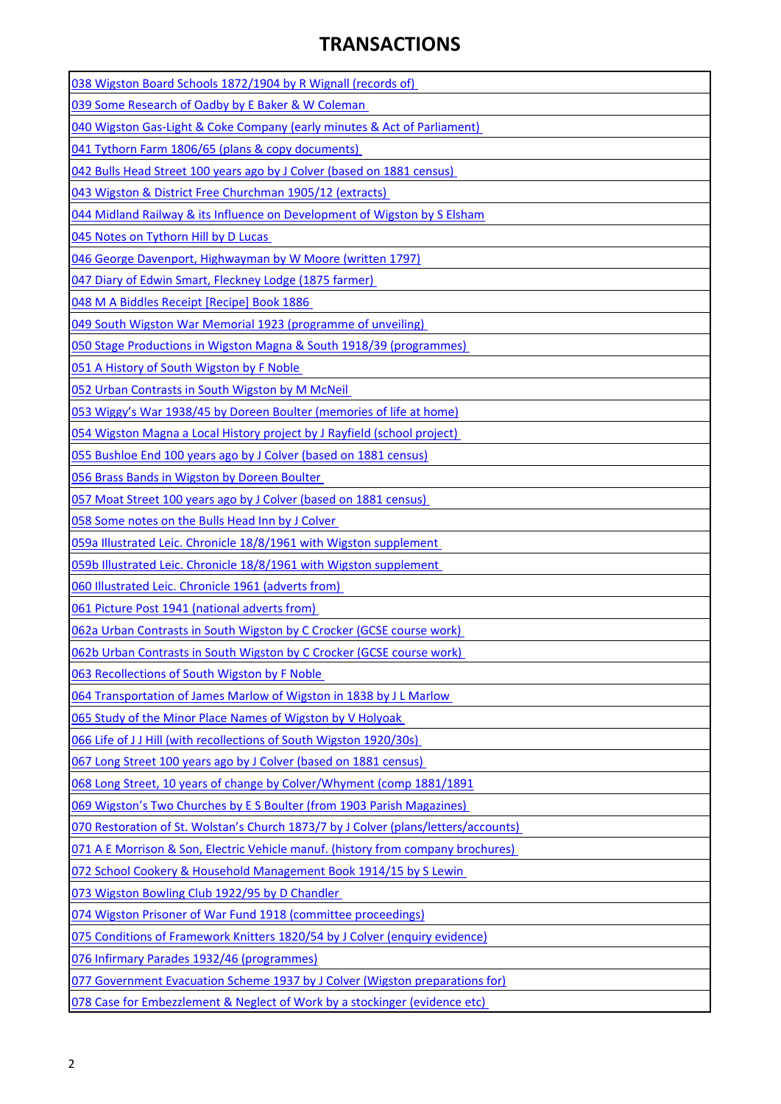## **TRANSACTIONS**

| 038 Wigston Board Schools 1872/1904 by R Wignall (records of)                       |
|-------------------------------------------------------------------------------------|
| 039 Some Research of Oadby by E Baker & W Coleman                                   |
| 040 Wigston Gas-Light & Coke Company (early minutes & Act of Parliament)            |
| 041 Tythorn Farm 1806/65 (plans & copy documents)                                   |
| 042 Bulls Head Street 100 years ago by J Colver (based on 1881 census)              |
| 043 Wigston & District Free Churchman 1905/12 (extracts)                            |
| 044 Midland Railway & its Influence on Development of Wigston by S Elsham           |
| 045 Notes on Tythorn Hill by D Lucas                                                |
| 046 George Davenport, Highwayman by W Moore (written 1797)                          |
| 047 Diary of Edwin Smart, Fleckney Lodge (1875 farmer)                              |
| 048 M A Biddles Receipt [Recipe] Book 1886                                          |
| 049 South Wigston War Memorial 1923 (programme of unveiling)                        |
| 050 Stage Productions in Wigston Magna & South 1918/39 (programmes)                 |
| 051 A History of South Wigston by F Noble                                           |
| 052 Urban Contrasts in South Wigston by M McNeil                                    |
| 053 Wiggy's War 1938/45 by Doreen Boulter (memories of life at home)                |
| 054 Wigston Magna a Local History project by J Rayfield (school project)            |
| 055 Bushloe End 100 years ago by J Colver (based on 1881 census)                    |
| 056 Brass Bands in Wigston by Doreen Boulter                                        |
| 057 Moat Street 100 years ago by J Colver (based on 1881 census)                    |
| 058 Some notes on the Bulls Head Inn by J Colver                                    |
| 059a Illustrated Leic. Chronicle 18/8/1961 with Wigston supplement                  |
| 059b Illustrated Leic. Chronicle 18/8/1961 with Wigston supplement                  |
| 060 Illustrated Leic. Chronicle 1961 (adverts from)                                 |
| 061 Picture Post 1941 (national adverts from)                                       |
| 062a Urban Contrasts in South Wigston by C Crocker (GCSE course work)               |
| 062b Urban Contrasts in South Wigston by C Crocker (GCSE course work)               |
| 063 Recollections of South Wigston by F Noble                                       |
| 064 Transportation of James Marlow of Wigston in 1838 by J L Marlow                 |
| 065 Study of the Minor Place Names of Wigston by V Holyoak                          |
| 066 Life of J J Hill (with recollections of South Wigston 1920/30s)                 |
| 067 Long Street 100 years ago by J Colver (based on 1881 census)                    |
| 068 Long Street, 10 years of change by Colver/Whyment (comp 1881/1891               |
| 069 Wigston's Two Churches by E S Boulter (from 1903 Parish Magazines)              |
| 070 Restoration of St. Wolstan's Church 1873/7 by J Colver (plans/letters/accounts) |
| 071 A E Morrison & Son, Electric Vehicle manuf. (history from company brochures)    |
| 072 School Cookery & Household Management Book 1914/15 by S Lewin                   |
| 073 Wigston Bowling Club 1922/95 by D Chandler                                      |
| 074 Wigston Prisoner of War Fund 1918 (committee proceedings)                       |
| 075 Conditions of Framework Knitters 1820/54 by J Colver (enquiry evidence)         |
| 076 Infirmary Parades 1932/46 (programmes)                                          |
| 077 Government Evacuation Scheme 1937 by J Colver (Wigston preparations for)        |
| 078 Case for Embezzlement & Neglect of Work by a stockinger (evidence etc)          |